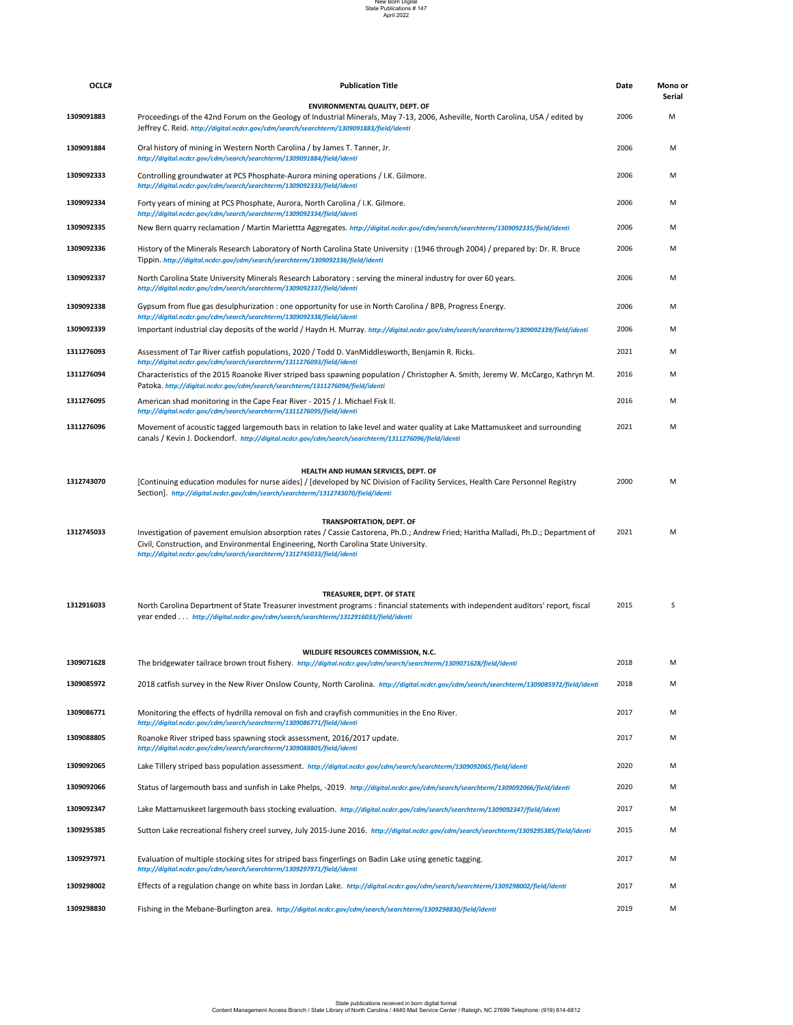1312916033 Morth Carolina Department of State Treasurer investment programs : financial statements with independent auditors' report, fiscal 2015 5 year ended . . . *http://digital.ncdcr.gov/cdm/search/searchterm/1312916033/field/identi*

## **TREASURER, DEPT. OF STATE**

| WILDLIFE RESOURCES COMMISSION, N.C. |                                                                                                                                                                                   |      |   |  |
|-------------------------------------|-----------------------------------------------------------------------------------------------------------------------------------------------------------------------------------|------|---|--|
| 1309071628                          | The bridgewater tailrace brown trout fishery. http://digital.ncdcr.gov/cdm/search/searchterm/1309071628/field/identi                                                              | 2018 | M |  |
| 1309085972                          | 2018 catfish survey in the New River Onslow County, North Carolina. http://digital.ncdcr.gov/cdm/search/searchterm/1309085972/field/identi                                        | 2018 | M |  |
| 1309086771                          | Monitoring the effects of hydrilla removal on fish and crayfish communities in the Eno River.<br>http://digital.ncdcr.gov/cdm/search/searchterm/1309086771/field/identi           | 2017 | M |  |
| 1309088805                          | Roanoke River striped bass spawning stock assessment, 2016/2017 update.<br>http://digital.ncdcr.gov/cdm/search/searchterm/1309088805/field/identi                                 | 2017 | M |  |
| 1309092065                          | Lake Tillery striped bass population assessment. http://digital.ncdcr.gov/cdm/search/searchterm/1309092065/field/identi                                                           | 2020 | M |  |
| 1309092066                          | Status of largemouth bass and sunfish in Lake Phelps, -2019. http://digital.ncdcr.gov/cdm/search/searchterm/1309092066/field/identi                                               | 2020 | M |  |
| 1309092347                          | Lake Mattamuskeet largemouth bass stocking evaluation. http://digital.ncdcr.gov/cdm/search/searchterm/1309092347/field/identi                                                     | 2017 | M |  |
| 1309295385                          | Sutton Lake recreational fishery creel survey, July 2015-June 2016. http://digital.ncdcr.gov/cdm/search/searchterm/1309295385/field/identi                                        | 2015 | M |  |
| 1309297971                          | Evaluation of multiple stocking sites for striped bass fingerlings on Badin Lake using genetic tagging.<br>http://digital.ncdcr.gov/cdm/search/searchterm/1309297971/field/identi | 2017 | M |  |
| 1309298002                          | Effects of a regulation change on white bass in Jordan Lake. http://digital.ncdcr.gov/cdm/search/searchterm/1309298002/field/identi                                               | 2017 | M |  |
| 1309298830                          | Fishing in the Mebane-Burlington area. http://digital.ncdcr.gov/cdm/search/searchterm/1309298830/field/identi                                                                     | 2019 | M |  |

| OCLC#      | <b>Publication Title</b>                                                                                                                                                                                                                                                                             | <b>Date</b> | Mono or<br><b>Serial</b> |
|------------|------------------------------------------------------------------------------------------------------------------------------------------------------------------------------------------------------------------------------------------------------------------------------------------------------|-------------|--------------------------|
| 1309091883 | <b>ENVIRONMENTAL QUALITY, DEPT. OF</b><br>Proceedings of the 42nd Forum on the Geology of Industrial Minerals, May 7-13, 2006, Asheville, North Carolina, USA / edited by<br>Jeffrey C. Reid. http://digital.ncdcr.gov/cdm/search/searchterm/1309091883/field/identi                                 | 2006        | M                        |
| 1309091884 | Oral history of mining in Western North Carolina / by James T. Tanner, Jr.<br>http://digital.ncdcr.gov/cdm/search/searchterm/1309091884/field/identi                                                                                                                                                 | 2006        | M                        |
| 1309092333 | Controlling groundwater at PCS Phosphate-Aurora mining operations / I.K. Gilmore.<br>http://digital.ncdcr.gov/cdm/search/searchterm/1309092333/field/identi                                                                                                                                          | 2006        | M                        |
| 1309092334 | Forty years of mining at PCS Phosphate, Aurora, North Carolina / I.K. Gilmore.<br>http://digital.ncdcr.gov/cdm/search/searchterm/1309092334/field/identi                                                                                                                                             | 2006        | M                        |
| 1309092335 | New Bern quarry reclamation / Martin Mariettta Aggregates. http://digital.ncdcr.gov/cdm/search/searchterm/1309092335/field/identi                                                                                                                                                                    | 2006        | M                        |
| 1309092336 | History of the Minerals Research Laboratory of North Carolina State University: (1946 through 2004) / prepared by: Dr. R. Bruce<br>Tippin. http://digital.ncdcr.gov/cdm/search/searchterm/1309092336/field/identi                                                                                    | 2006        | M                        |
| 1309092337 | North Carolina State University Minerals Research Laboratory : serving the mineral industry for over 60 years.<br>http://digital.ncdcr.gov/cdm/search/searchterm/1309092337/field/identi                                                                                                             | 2006        | M                        |
| 1309092338 | Gypsum from flue gas desulphurization : one opportunity for use in North Carolina / BPB, Progress Energy.<br>http://digital.ncdcr.gov/cdm/search/searchterm/1309092338/field/identi                                                                                                                  | 2006        | M                        |
| 1309092339 | Important industrial clay deposits of the world / Haydn H. Murray. http://digital.ncdcr.gov/cdm/search/searchterm/1309092339/field/identi                                                                                                                                                            | 2006        | M                        |
| 1311276093 | Assessment of Tar River catfish populations, 2020 / Todd D. VanMiddlesworth, Benjamin R. Ricks.<br>http://digital.ncdcr.gov/cdm/search/searchterm/1311276093/field/identi                                                                                                                            | 2021        | M                        |
| 1311276094 | Characteristics of the 2015 Roanoke River striped bass spawning population / Christopher A. Smith, Jeremy W. McCargo, Kathryn M.<br>Patoka. http://digital.ncdcr.gov/cdm/search/searchterm/1311276094/field/identi                                                                                   | 2016        | M                        |
| 1311276095 | American shad monitoring in the Cape Fear River - 2015 / J. Michael Fisk II.<br>http://digital.ncdcr.gov/cdm/search/searchterm/1311276095/field/identi                                                                                                                                               | 2016        | M                        |
| 1311276096 | Movement of acoustic tagged largemouth bass in relation to lake level and water quality at Lake Mattamuskeet and surrounding<br>canals / Kevin J. Dockendorf. http://digital.ncdcr.gov/cdm/search/searchterm/1311276096/field/identi                                                                 | 2021        | M                        |
|            | HEALTH AND HUMAN SERVICES, DEPT. OF                                                                                                                                                                                                                                                                  |             |                          |
| 1312743070 | [Continuing education modules for nurse aides] / [developed by NC Division of Facility Services, Health Care Personnel Registry<br>Section]. http://digital.ncdcr.gov/cdm/search/searchterm/1312743070/field/identi                                                                                  | 2000        | M                        |
|            | <b>TRANSPORTATION, DEPT. OF</b>                                                                                                                                                                                                                                                                      |             |                          |
| 1312745033 | Investigation of pavement emulsion absorption rates / Cassie Castorena, Ph.D.; Andrew Fried; Haritha Malladi, Ph.D.; Department of<br>Civil, Construction, and Environmental Engineering, North Carolina State University.<br>http://digital.ncdcr.gov/cdm/search/searchterm/1312745033/field/identi | 2021        | M                        |
|            |                                                                                                                                                                                                                                                                                                      |             |                          |

## New Born Digital State Publications # 147 April 2022